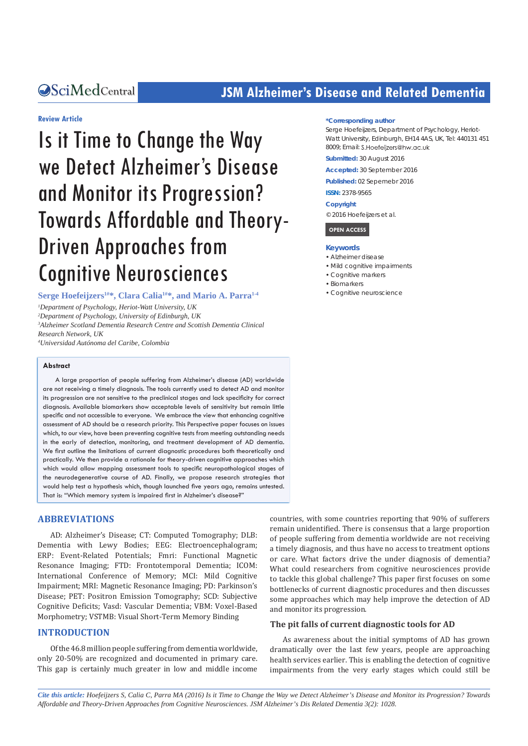## **OSciMedCentral State State State State State Inc. 75M Alzheimer's Disease and Related Dementia**

#### **Review Article**

# Is it Time to Change the Way we Detect Alzheimer's Disease and Monitor its Progression? Towards Affordable and Theory-Driven Approaches from Cognitive Neurosciences

**Serge Hoefeijzers1#\*, Clara Calia1#\*, and Mario A. Parra1-4**

 *Department of Psychology, Heriot-Watt University, UK Department of Psychology, University of Edinburgh, UK Alzheimer Scotland Dementia Research Centre and Scottish Dementia Clinical Research Network, UK*

*4 Universidad Autónoma del Caribe, Colombia*

#### **Abstract**

A large proportion of people suffering from Alzheimer's disease (AD) worldwide are not receiving a timely diagnosis. The tools currently used to detect AD and monitor its progression are not sensitive to the preclinical stages and lack specificity for correct diagnosis. Available biomarkers show acceptable levels of sensitivity but remain little specific and not accessible to everyone. We embrace the view that enhancing cognitive assessment of AD should be a research priority. This Perspective paper focuses on issues which, to our view, have been preventing cognitive tests from meeting outstanding needs in the early of detection, monitoring, and treatment development of AD dementia. We first outline the limitations of current diagnostic procedures both theoretically and practically. We then provide a rationale for theory-driven cognitive approaches which which would allow mapping assessment tools to specific neuropathological stages of the neurodegenerative course of AD. Finally, we propose research strategies that would help test a hypothesis which, though launched five years ago, remains untested. That is: "Which memory system is impaired first in Alzheimer's disease?"

#### **ABBREVIATIONS**

AD: Alzheimer's Disease; CT: Computed Tomography; DLB: Dementia with Lewy Bodies; EEG: Electroencephalogram; ERP: Event-Related Potentials; Fmri: Functional Magnetic Resonance Imaging; FTD: Frontotemporal Dementia; ICOM: International Conference of Memory; MCI: Mild Cognitive Impairment; MRI: Magnetic Resonance Imaging; PD: Parkinson's Disease; PET: Positron Emission Tomography; SCD: Subjective Cognitive Deficits; Vasd: Vascular Dementia; VBM: Voxel-Based Morphometry; VSTMB: Visual Short-Term Memory Binding

#### **INTRODUCTION**

Of the 46.8 million people suffering from dementia worldwide, only 20-50% are recognized and documented in primary care. This gap is certainly much greater in low and middle income

#### **\*Corresponding author**

Serge Hoefeijzers, Department of Psychology, Heriot-Watt University, Edinburgh, EH14 4AS, UK, Tel: 440131 451 8009; Email: S.Hoefeiizers@hw.ac.uk

**Submitted:** 30 August 2016

**Accepted:** 30 September 2016

**Published:** 02 Sepemebr 2016

**ISSN:** 2378-9565

#### **Copyright**

© 2016 Hoefeijzers et al.



#### **Keywords**

- • Alzheimer disease
- • Mild cognitive impairments
- • Cognitive markers
- • Biomarkers
- • Cognitive neuroscience

countries, with some countries reporting that 90% of sufferers remain unidentified. There is consensus that a large proportion of people suffering from dementia worldwide are not receiving a timely diagnosis, and thus have no access to treatment options or care. What factors drive the under diagnosis of dementia? What could researchers from cognitive neurosciences provide to tackle this global challenge? This paper first focuses on some bottlenecks of current diagnostic procedures and then discusses some approaches which may help improve the detection of AD and monitor its progression.

#### **The pit falls of current diagnostic tools for AD**

As awareness about the initial symptoms of AD has grown dramatically over the last few years, people are approaching health services earlier. This is enabling the detection of cognitive impairments from the very early stages which could still be

*Cite this article: Hoefeijzers S, Calia C, Parra MA (2016) Is it Time to Change the Way we Detect Alzheimer's Disease and Monitor its Progression? Towards Affordable and Theory-Driven Approaches from Cognitive Neurosciences. JSM Alzheimer's Dis Related Dementia 3(2): 1028.*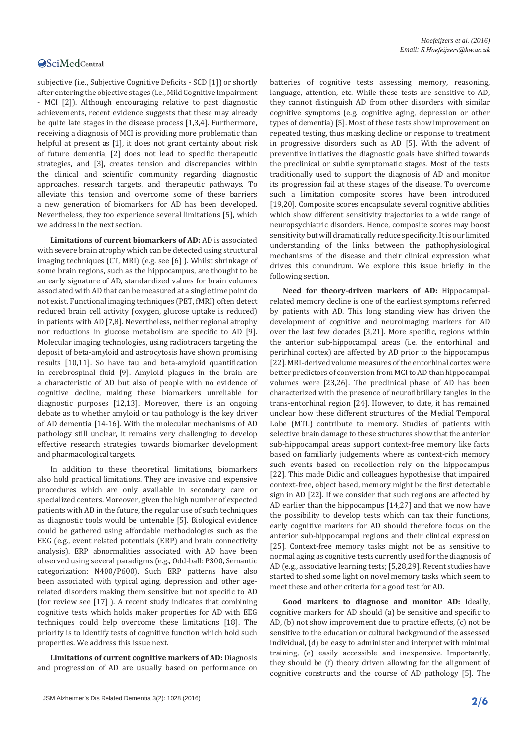subjective (i.e., Subjective Cognitive Deficits - SCD [1]) or shortly after entering the objective stages (i.e., Mild Cognitive Impairment - MCI [2]). Although encouraging relative to past diagnostic achievements, recent evidence suggests that these may already be quite late stages in the disease process [1,3,4]. Furthermore, receiving a diagnosis of MCI is providing more problematic than helpful at present as [1], it does not grant certainty about risk of future dementia, [2] does not lead to specific therapeutic strategies, and [3], creates tension and discrepancies within the clinical and scientific community regarding diagnostic approaches, research targets, and therapeutic pathways. To alleviate this tension and overcome some of these barriers a new generation of biomarkers for AD has been developed. Nevertheless, they too experience several limitations [5], which we address in the next section.

**Limitations of current biomarkers of AD:** AD is associated with severe brain atrophy which can be detected using structural imaging techniques (CT, MRI) (e.g. see [6] ). Whilst shrinkage of some brain regions, such as the hippocampus, are thought to be an early signature of AD, standardized values for brain volumes associated with AD that can be measured at a single time point do not exist. Functional imaging techniques (PET, fMRI) often detect reduced brain cell activity (oxygen, glucose uptake is reduced) in patients with AD [7,8]. Nevertheless, neither regional atrophy nor reductions in glucose metabolism are specific to AD [9]. Molecular imaging technologies, using radiotracers targeting the deposit of beta-amyloid and astrocytosis have shown promising results [10,11]. So have tau and beta-amyloid quantification in cerebrospinal fluid [9]. Amyloid plagues in the brain are a characteristic of AD but also of people with no evidence of cognitive decline, making these biomarkers unreliable for diagnostic purposes [12,13]. Moreover, there is an ongoing debate as to whether amyloid or tau pathology is the key driver of AD dementia [14-16]. With the molecular mechanisms of AD pathology still unclear, it remains very challenging to develop effective research strategies towards biomarker development and pharmacological targets.

In addition to these theoretical limitations, biomarkers also hold practical limitations. They are invasive and expensive procedures which are only available in secondary care or specialized centers. Moreover, given the high number of expected patients with AD in the future, the regular use of such techniques as diagnostic tools would be untenable [5]. Biological evidence could be gathered using affordable methodologies such as the EEG (e.g., event related potentials (ERP) and brain connectivity analysis). ERP abnormalities associated with AD have been observed using several paradigms (e.g., Odd-ball: P300, Semantic categorization: N400/P600). Such ERP patterns have also been associated with typical aging, depression and other agerelated disorders making them sensitive but not specific to AD (for review see [17] ). A recent study indicates that combining cognitive tests which holds maker properties for AD with EEG techniques could help overcome these limitations [18]. The priority is to identify tests of cognitive function which hold such properties. We address this issue next.

**Limitations of current cognitive markers of AD:** Diagnosis and progression of AD are usually based on performance on

batteries of cognitive tests assessing memory, reasoning, language, attention, etc. While these tests are sensitive to AD, they cannot distinguish AD from other disorders with similar cognitive symptoms (e.g. cognitive aging, depression or other types of dementia) [5]. Most of these tests show improvement on repeated testing, thus masking decline or response to treatment in progressive disorders such as AD [5]. With the advent of preventive initiatives the diagnostic goals have shifted towards the preclinical or subtle symptomatic stages. Most of the tests traditionally used to support the diagnosis of AD and monitor its progression fail at these stages of the disease. To overcome such a limitation composite scores have been introduced [19,20]. Composite scores encapsulate several cognitive abilities which show different sensitivity trajectories to a wide range of neuropsychiatric disorders. Hence, composite scores may boost sensitivity but will dramatically reduce specificity. It is our limited understanding of the links between the pathophysiological mechanisms of the disease and their clinical expression what drives this conundrum. We explore this issue briefly in the following section.

**Need for theory-driven markers of AD:** Hippocampalrelated memory decline is one of the earliest symptoms referred by patients with AD. This long standing view has driven the development of cognitive and neuroimaging markers for AD over the last few decades [3,21]. More specific, regions within the anterior sub-hippocampal areas (i.e. the entorhinal and perirhinal cortex) are affected by AD prior to the hippocampus [22]. MRI-derived volume measures of the entorhinal cortex were better predictors of conversion from MCI to AD than hippocampal volumes were [23,26]. The preclinical phase of AD has been characterized with the presence of neurofibrillary tangles in the trans-entorhinal region [24]. However, to date, it has remained unclear how these different structures of the Medial Temporal Lobe (MTL) contribute to memory. Studies of patients with selective brain damage to these structures show that the anterior sub-hippocampal areas support context-free memory like facts based on familiarly judgements where as context-rich memory such events based on recollection rely on the hippocampus [22]. This made Didic and colleagues hypothesise that impaired context-free, object based, memory might be the first detectable sign in AD [22]. If we consider that such regions are affected by AD earlier than the hippocampus [14,27] and that we now have the possibility to develop tests which can tax their functions, early cognitive markers for AD should therefore focus on the anterior sub-hippocampal regions and their clinical expression [25]. Context-free memory tasks might not be as sensitive to normal aging as cognitive tests currently used for the diagnosis of AD (e.g., associative learning tests; [5,28,29]. Recent studies have started to shed some light on novel memory tasks which seem to meet these and other criteria for a good test for AD.

**Good markers to diagnose and monitor AD:** Ideally, cognitive markers for AD should (a) be sensitive and specific to AD, (b) not show improvement due to practice effects, (c) not be sensitive to the education or cultural background of the assessed individual, (d) be easy to administer and interpret with minimal training, (e) easily accessible and inexpensive. Importantly, they should be (f) theory driven allowing for the alignment of cognitive constructs and the course of AD pathology [5]. The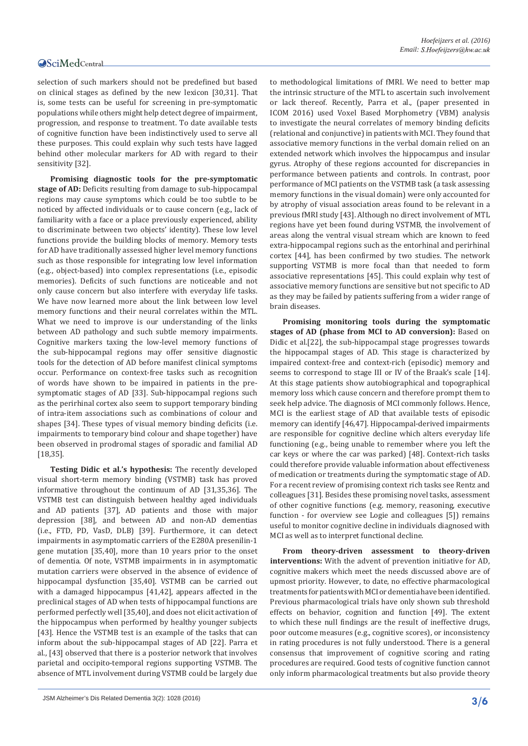selection of such markers should not be predefined but based on clinical stages as defined by the new lexicon [30,31]. That is, some tests can be useful for screening in pre-symptomatic populations while others might help detect degree of impairment, progression, and response to treatment. To date available tests of cognitive function have been indistinctively used to serve all these purposes. This could explain why such tests have lagged behind other molecular markers for AD with regard to their sensitivity [32].

**Promising diagnostic tools for the pre-symptomatic stage of AD:** Deficits resulting from damage to sub-hippocampal regions may cause symptoms which could be too subtle to be noticed by affected individuals or to cause concern (e.g., lack of familiarity with a face or a place previously experienced, ability to discriminate between two objects' identity). These low level functions provide the building blocks of memory. Memory tests for AD have traditionally assessed higher level memory functions such as those responsible for integrating low level information (e.g., object-based) into complex representations (i.e., episodic memories). Deficits of such functions are noticeable and not only cause concern but also interfere with everyday life tasks. We have now learned more about the link between low level memory functions and their neural correlates within the MTL. What we need to improve is our understanding of the links between AD pathology and such subtle memory impairments. Cognitive markers taxing the low-level memory functions of the sub-hippocampal regions may offer sensitive diagnostic tools for the detection of AD before manifest clinical symptoms occur. Performance on context-free tasks such as recognition of words have shown to be impaired in patients in the presymptomatic stages of AD [33]. Sub-hippocampal regions such as the perirhinal cortex also seem to support temporary binding of intra-item associations such as combinations of colour and shapes [34]. These types of visual memory binding deficits (i.e. impairments to temporary bind colour and shape together) have been observed in prodromal stages of sporadic and familial AD [18,35].

**Testing Didic et al.'s hypothesis:** The recently developed visual short-term memory binding (VSTMB) task has proved informative throughout the continuum of AD [31,35,36]. The VSTMB test can distinguish between healthy aged individuals and AD patients [37], AD patients and those with major depression [38], and between AD and non-AD dementias (i.e., FTD, PD, VasD, DLB) [39]. Furthermore, it can detect impairments in asymptomatic carriers of the E280A presenilin-1 gene mutation [35,40], more than 10 years prior to the onset of dementia. Of note, VSTMB impairments in in asymptomatic mutation carriers were observed in the absence of evidence of hippocampal dysfunction [35,40]. VSTMB can be carried out with a damaged hippocampus [41,42], appears affected in the preclinical stages of AD when tests of hippocampal functions are performed perfectly well [35,40], and does not elicit activation of the hippocampus when performed by healthy younger subjects [43]. Hence the VSTMB test is an example of the tasks that can inform about the sub-hippocampal stages of AD [22]. Parra et al., [43] observed that there is a posterior network that involves parietal and occipito-temporal regions supporting VSTMB. The absence of MTL involvement during VSTMB could be largely due

to methodological limitations of fMRI. We need to better map the intrinsic structure of the MTL to ascertain such involvement or lack thereof. Recently, Parra et al., (paper presented in ICOM 2016) used Voxel Based Morphometry (VBM) analysis to investigate the neural correlates of memory binding deficits (relational and conjunctive) in patients with MCI. They found that associative memory functions in the verbal domain relied on an extended network which involves the hippocampus and insular gyrus. Atrophy of these regions accounted for discrepancies in performance between patients and controls. In contrast, poor performance of MCI patients on the VSTMB task (a task assessing memory functions in the visual domain) were only accounted for by atrophy of visual association areas found to be relevant in a previous fMRI study [43]. Although no direct involvement of MTL regions have yet been found during VSTMB, the involvement of areas along the ventral visual stream which are known to feed extra-hippocampal regions such as the entorhinal and perirhinal cortex [44], has been confirmed by two studies. The network supporting VSTMB is more focal than that needed to form associative representations [45]. This could explain why test of associative memory functions are sensitive but not specific to AD as they may be failed by patients suffering from a wider range of brain diseases.

**Promising monitoring tools during the symptomatic stages of AD (phase from MCI to AD conversion):** Based on Didic et al.[22], the sub-hippocampal stage progresses towards the hippocampal stages of AD. This stage is characterized by impaired context-free and context-rich (episodic) memory and seems to correspond to stage III or IV of the Braak's scale [14]. At this stage patients show autobiographical and topographical memory loss which cause concern and therefore prompt them to seek help advice. The diagnosis of MCI commonly follows. Hence, MCI is the earliest stage of AD that available tests of episodic memory can identify [46,47]. Hippocampal-derived impairments are responsible for cognitive decline which alters everyday life functioning (e.g., being unable to remember where you left the car keys or where the car was parked) [48]. Context-rich tasks could therefore provide valuable information about effectiveness of medication or treatments during the symptomatic stage of AD. For a recent review of promising context rich tasks see Rentz and colleagues [31]. Besides these promising novel tasks, assessment of other cognitive functions (e.g. memory, reasoning, executive function - for overview see Logie and colleagues [5]) remains useful to monitor cognitive decline in individuals diagnosed with MCI as well as to interpret functional decline.

**From theory-driven assessment to theory-driven interventions:** With the advent of prevention initiative for AD, cognitive makers which meet the needs discussed above are of upmost priority. However, to date, no effective pharmacological treatments for patients with MCI or dementia have been identified. Previous pharmacological trials have only shown sub threshold effects on behavior, cognition and function [49]. The extent to which these null findings are the result of ineffective drugs, poor outcome measures (e.g., cognitive scores), or inconsistency in rating procedures is not fully understood. There is a general consensus that improvement of cognitive scoring and rating procedures are required. Good tests of cognitive function cannot only inform pharmacological treatments but also provide theory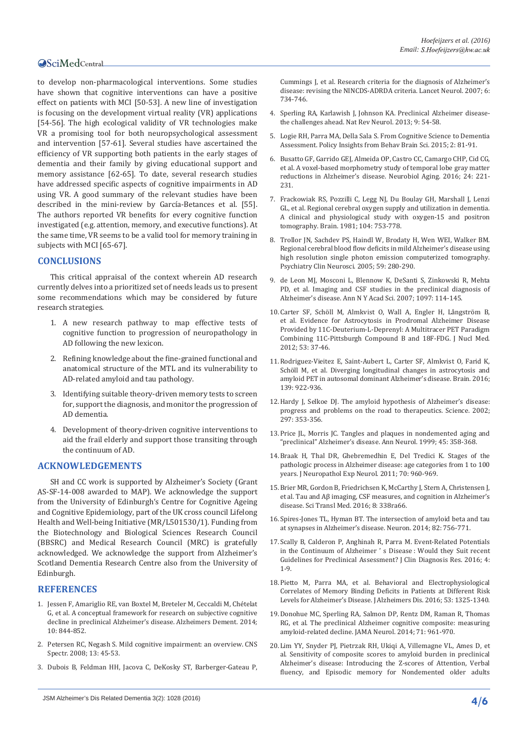to develop non-pharmacological interventions. Some studies have shown that cognitive interventions can have a positive effect on patients with MCI [50-53]. A new line of investigation is focusing on the development virtual reality (VR) applications [54-56]. The high ecological validity of VR technologies make VR a promising tool for both neuropsychological assessment and intervention [57-61]. Several studies have ascertained the efficiency of VR supporting both patients in the early stages of dementia and their family by giving educational support and memory assistance [62-65]. To date, several research studies have addressed specific aspects of cognitive impairments in AD using VR. A good summary of the relevant studies have been described in the mini-review by García-Betances et al. [55]. The authors reported VR benefits for every cognitive function investigated (e.g. attention, memory, and executive functions). At the same time, VR seems to be a valid tool for memory training in subjects with MCI [65-67].

#### **CONCLUSIONS**

This critical appraisal of the context wherein AD research currently delves into a prioritized set of needs leads us to present some recommendations which may be considered by future research strategies.

- 1. A new research pathway to map effective tests of cognitive function to progression of neuropathology in AD following the new lexicon.
- 2. Refining knowledge about the fine-grained functional and anatomical structure of the MTL and its vulnerability to AD-related amyloid and tau pathology.
- 3. Identifying suitable theory-driven memory tests to screen for, support the diagnosis, and monitor the progression of AD dementia.
- 4. Development of theory-driven cognitive interventions to aid the frail elderly and support those transiting through the continuum of AD.

#### **ACKNOWLEDGEMENTS**

SH and CC work is supported by Alzheimer's Society (Grant AS-SF-14-008 awarded to MAP). We acknowledge the support from the University of Edinburgh's Centre for Cognitive Ageing and Cognitive Epidemiology, part of the UK cross council Lifelong Health and Well-being Initiative (MR/L501530/1). Funding from the Biotechnology and Biological Sciences Research Council (BBSRC) and Medical Research Council (MRC) is gratefully acknowledged. We acknowledge the support from Alzheimer's Scotland Dementia Research Centre also from the University of Edinburgh.

#### **REFERENCES**

- 1. [Jessen F, Amariglio RE, van Boxtel M, Breteler M, Ceccaldi M, Ch](https://www.ncbi.nlm.nih.gov/pubmed/24798886)ételat [G, et al. A conceptual framework for research on subjective cognitive](https://www.ncbi.nlm.nih.gov/pubmed/24798886)  [decline in preclinical Alzheimer's disease. Alzheimers Dement. 2014;](https://www.ncbi.nlm.nih.gov/pubmed/24798886)  [10: 844-852.](https://www.ncbi.nlm.nih.gov/pubmed/24798886)
- 2. [Petersen RC, Negash S. Mild cognitive impairment: an overview. CNS](http://www.ncbi.nlm.nih.gov/pubmed/18204414)  [Spectr. 2008; 13: 45-53.](http://www.ncbi.nlm.nih.gov/pubmed/18204414)
- 3. [Dubois B, Feldman HH, Jacova C, DeKosky ST, Barberger-Gateau P,](https://www.ncbi.nlm.nih.gov/pubmed/17616482)
- 4. [Sperling RA, Karlawish J, Johnson KA. Preclinical Alzheimer disease](http://www.ncbi.nlm.nih.gov/pubmed/23183885)[the challenges ahead. Nat Rev Neurol. 2013; 9: 54-58.](http://www.ncbi.nlm.nih.gov/pubmed/23183885)
- 5. [Logie RH, Parra MA, Della Sala S. From Cognitive Science to Dementia](http://bbs.sagepub.com/content/2/1/81.abstract)  Assessment. Policy Insights from Behav Brain Sci. 2015; 2: 81-91.
- 6. [Busatto GF, Garrido GEJ, Almeida OP, Castro CC, Camargo CHP, Cid CG,](https://www.ncbi.nlm.nih.gov/pubmed/12498956)  [et al. A voxel-based morphometry study of temporal lobe gray matter](https://www.ncbi.nlm.nih.gov/pubmed/12498956)  [reductions in Alzheimer's disease. Neurobiol Aging. 2016; 24: 221-](https://www.ncbi.nlm.nih.gov/pubmed/12498956) [231.](https://www.ncbi.nlm.nih.gov/pubmed/12498956)
- 7. [Frackowiak RS, Pozzilli C, Legg NJ, Du Boulay GH, Marshall J, Lenzi](http://www.ncbi.nlm.nih.gov/pubmed/6976816)  [GL, et al. Regional cerebral oxygen supply and utilization in dementia.](http://www.ncbi.nlm.nih.gov/pubmed/6976816)  [A clinical and physiological study with oxygen-15 and positron](http://www.ncbi.nlm.nih.gov/pubmed/6976816)  [tomography. Brain. 1981; 104: 753-778.](http://www.ncbi.nlm.nih.gov/pubmed/6976816)
- 8. [Trollor JN, Sachdev PS, Haindl W, Brodaty H, Wen WEI, Walker BM.](https://www.ncbi.nlm.nih.gov/pubmed/15896221)  [Regional cerebral blood flow deficits in mild Alzheimer's disease using](https://www.ncbi.nlm.nih.gov/pubmed/15896221)  [high resolution single photon emission computerized tomography.](https://www.ncbi.nlm.nih.gov/pubmed/15896221)  [Psychiatry Clin Neurosci. 2005; 59: 280-290.](https://www.ncbi.nlm.nih.gov/pubmed/15896221)
- 9. [de Leon MJ, Mosconi L, Blennow K, DeSanti S, Zinkowski R, Mehta](http://www.ncbi.nlm.nih.gov/pubmed/17413016)  [PD, et al. Imaging and CSF studies in the preclinical diagnosis of](http://www.ncbi.nlm.nih.gov/pubmed/17413016)  [Alzheimer's disease. Ann N Y Acad Sci. 2007; 1097: 114-145.](http://www.ncbi.nlm.nih.gov/pubmed/17413016)
- 10.[Carter SF, Schöll M, Almkvist O, Wall A, Engler H, Långström B,](https://www.ncbi.nlm.nih.gov/pubmed/22213821)  [et al. Evidence for Astrocytosis in Prodromal Alzheimer Disease](https://www.ncbi.nlm.nih.gov/pubmed/22213821)  [Provided by 11C-Deuterium-L-Deprenyl: A Multitracer PET Paradigm](https://www.ncbi.nlm.nih.gov/pubmed/22213821)  [Combining 11C-Pittsburgh Compound B and 18F-FDG. J Nucl Med.](https://www.ncbi.nlm.nih.gov/pubmed/22213821)  [2012; 53: 37-46.](https://www.ncbi.nlm.nih.gov/pubmed/22213821)
- 11.[Rodriguez-Vieitez E, Saint-Aubert L, Carter SF, Almkvist O, Farid K,](https://www.ncbi.nlm.nih.gov/pubmed/26813969)  [Schöll M, et al. Diverging longitudinal changes in astrocytosis and](https://www.ncbi.nlm.nih.gov/pubmed/26813969)  [amyloid PET in autosomal dominant Alzheimer's disease. Brain. 2016;](https://www.ncbi.nlm.nih.gov/pubmed/26813969)  [139: 922-936.](https://www.ncbi.nlm.nih.gov/pubmed/26813969)
- 12.[Hardy J, Selkoe DJ. The amyloid hypothesis of Alzheimer's disease:](http://www.ncbi.nlm.nih.gov/pubmed/12130773)  [progress and problems on the road to therapeutics. Science. 2002;](http://www.ncbi.nlm.nih.gov/pubmed/12130773)  [297: 353-356.](http://www.ncbi.nlm.nih.gov/pubmed/12130773)
- 13.[Price JL, Morris JC. Tangles and plaques in nondemented aging and](http://www.ncbi.nlm.nih.gov/pubmed/10072051)  ["preclinical" Alzheimer's disease. Ann Neurol. 1999; 45: 358-368.](http://www.ncbi.nlm.nih.gov/pubmed/10072051)
- 14.[Braak H, Thal DR, Ghebremedhin E, Del Tredici K. Stages of the](http://www.ncbi.nlm.nih.gov/pubmed/22002422)  [pathologic process in Alzheimer disease: age categories from 1 to 100](http://www.ncbi.nlm.nih.gov/pubmed/22002422)  [years. J Neuropathol Exp Neurol. 2011; 70: 960-969.](http://www.ncbi.nlm.nih.gov/pubmed/22002422)
- 15.[Brier MR, Gordon B, Friedrichsen K, McCarthy J, Stern A, Christensen J,](https://www.ncbi.nlm.nih.gov/pubmed/27169802)  [et al. Tau and Aβ imaging, CSF measures, and cognition in Alzheimer's](https://www.ncbi.nlm.nih.gov/pubmed/27169802)  dise[ase. Sci Transl Med. 2016; 8: 338ra66.](https://www.ncbi.nlm.nih.gov/pubmed/27169802)
- 16.[Spires-Jones TL, Hyman BT. The intersection of amyloid beta and tau](http://www.ncbi.nlm.nih.gov/pubmed/24853936)  [at synapses in Alzheimer's disease. Neuron. 2014; 82: 756-771.](http://www.ncbi.nlm.nih.gov/pubmed/24853936)
- 17.[Scally B, Calderon P, Anghinah R, Parra M. Event-Related Potentials](http://www.omicsonline.com/open-access/eventrelated-potentials-in-the-continuum-of-alzheimers-disease-would-they-suit-recent-guidelines-for-preclinical-assessment-2376-0311-1000127.pdf)  in the Continuum of Alzheimer 's Disease: Would they Suit recent [Guidelines for Preclinical Assessment? J Clin Diagnosis Res. 2016; 4:](http://www.omicsonline.com/open-access/eventrelated-potentials-in-the-continuum-of-alzheimers-disease-would-they-suit-recent-guidelines-for-preclinical-assessment-2376-0311-1000127.pdf)  [1-9.](http://www.omicsonline.com/open-access/eventrelated-potentials-in-the-continuum-of-alzheimers-disease-would-they-suit-recent-guidelines-for-preclinical-assessment-2376-0311-1000127.pdf)
- 18.[Pietto M, Parra MA, et al. Behavioral and Electrophysiological](http://www.ncbi.nlm.nih.gov/pubmed/27372640)  [Correlates of Memory Binding Deficits in Patients at Different Risk](http://www.ncbi.nlm.nih.gov/pubmed/27372640)  [Levels for Alzheimer's Disease. J Alzheimers Dis. 2016; 53: 1325-1340.](http://www.ncbi.nlm.nih.gov/pubmed/27372640)
- 19.[Donohue MC, Sperling RA, Salmon DP, Rentz DM, Raman R, Thomas](https://www.ncbi.nlm.nih.gov/pmc/articles/PMC4439182/)  [RG, et al. The preclinical Alzheimer cognitive composite: measuring](https://www.ncbi.nlm.nih.gov/pmc/articles/PMC4439182/)  [amyloid-related decline. JAMA Neurol. 2014; 71: 961-970.](https://www.ncbi.nlm.nih.gov/pmc/articles/PMC4439182/)
- 20.[Lim YY, Snyder PJ, Pietrzak RH, Ukiqi A, Villemagne VL, Ames D, et](https://www.ncbi.nlm.nih.gov/pmc/articles/PMC4879646/)  [al. Sensitivity of composite scores to amyloid burden in preclinical](https://www.ncbi.nlm.nih.gov/pmc/articles/PMC4879646/)  [Alzheimer's disease: Introducing the Z-scores of Attention, Verbal](https://www.ncbi.nlm.nih.gov/pmc/articles/PMC4879646/)  [fluency, and Episodic memory for Nondemented older adults](https://www.ncbi.nlm.nih.gov/pmc/articles/PMC4879646/)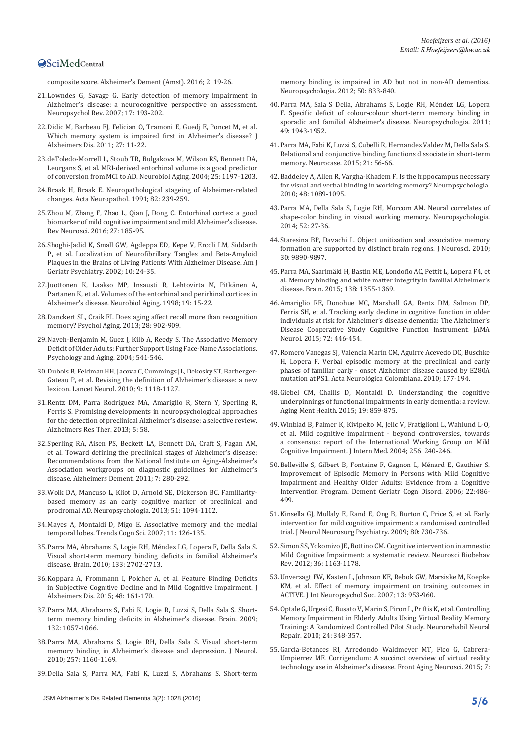[composite score. Alzheimer's Dement \(Amst\). 2016; 2: 19-26.](https://www.ncbi.nlm.nih.gov/pmc/articles/PMC4879646/)

- 21.[Lowndes G, Savage G. Early detection of memory impairment in](http://www.ncbi.nlm.nih.gov/pubmed/17805975)  [Alzheimer's disease: a neurocognitive perspective on assessment.](http://www.ncbi.nlm.nih.gov/pubmed/17805975)  [Neuropsychol Rev. 2007; 17: 193-202.](http://www.ncbi.nlm.nih.gov/pubmed/17805975)
- 22.[Didic M, Barbeau EJ, Felician O, Tramoni E, Guedj E, Poncet M, et al.](http://www.ncbi.nlm.nih.gov/pubmed/21799246)  [Which memory system is impaired first in Alzheimer's disease? J](http://www.ncbi.nlm.nih.gov/pubmed/21799246)  [Alzheimers Dis. 2011; 27: 11-22.](http://www.ncbi.nlm.nih.gov/pubmed/21799246)
- 23.[deToledo-Morrell L, Stoub TR, Bulgakova M, Wilson RS, Bennett DA,](http://www.ncbi.nlm.nih.gov/pubmed/15312965)  [Leurgans S, et al. MRI-derived entorhinal volume is a good predictor](http://www.ncbi.nlm.nih.gov/pubmed/15312965)  [of conversion from MCI to AD. Neurobiol Aging. 2004; 25: 1197-1203.](http://www.ncbi.nlm.nih.gov/pubmed/15312965)
- 24.[Braak H, Braak E. Neuropathological stageing of Alzheimer-related](http://www.ncbi.nlm.nih.gov/pubmed/1759558)  [changes. Acta Neuropathol. 1991; 82: 239-259.](http://www.ncbi.nlm.nih.gov/pubmed/1759558)
- 25.[Zhou M, Zhang F, Zhao L, Qian J, Dong C. Entorhinal cortex: a good](http://www.ncbi.nlm.nih.gov/pubmed/26444348)  [biomarker of mild cognitive impairment and mild Alzheimer's disease.](http://www.ncbi.nlm.nih.gov/pubmed/26444348)  [Rev Neurosci. 2016; 27: 185-95.](http://www.ncbi.nlm.nih.gov/pubmed/26444348)
- 26.[Shoghi-Jadid K, Small GW, Agdeppa ED, Kepe V, Ercoli LM, Siddarth](https://www.ncbi.nlm.nih.gov/pubmed/11790632)  [P, et al. Localization of Neurofibrillary Tangles and Beta-Amyloid](https://www.ncbi.nlm.nih.gov/pubmed/11790632)  [Plaques in the Brains of Living Patients With Alzheimer Disease. Am J](https://www.ncbi.nlm.nih.gov/pubmed/11790632)  [Geriatr Psychiatry. 2002; 10: 24-35.](https://www.ncbi.nlm.nih.gov/pubmed/11790632)
- 27.[Juottonen K, Laakso MP, Insausti R, Lehtovirta M, Pitkänen A,](http://www.ncbi.nlm.nih.gov/pubmed/9562498)  [Partanen K, et al. Volumes of the entorhinal and perirhinal cortices in](http://www.ncbi.nlm.nih.gov/pubmed/9562498)  [Alzheimer's disease. Neurobiol Aging. 1998; 19: 15-22.](http://www.ncbi.nlm.nih.gov/pubmed/9562498)
- 28.[Danckert SL, Craik FI. Does aging affect recall more than recognition](http://www.ncbi.nlm.nih.gov/pubmed/23978011)  [memory? Psychol Aging. 2013; 28: 902-909.](http://www.ncbi.nlm.nih.gov/pubmed/23978011)
- 29.[Naveh-Benjamin M, Guez J, Kilb A, Reedy S. The Associative Memory](https://www.ncbi.nlm.nih.gov/pubmed/15383004)  [Deficit of Older Adults: Further Support Using Face-Name Associations.](https://www.ncbi.nlm.nih.gov/pubmed/15383004)  [Psychology and Aging. 2004; 541-546.](https://www.ncbi.nlm.nih.gov/pubmed/15383004)
- 30.[Dubois B, Feldman HH, Jacova C, Cummings JL, Dekosky ST, Barberger-](http://www.ncbi.nlm.nih.gov/pubmed/20934914)[Gateau P, et al. Revising the definition of Alzheimer's disease: a new](http://www.ncbi.nlm.nih.gov/pubmed/20934914)  [lexicon. Lancet Neurol. 2010; 9: 1118-1127.](http://www.ncbi.nlm.nih.gov/pubmed/20934914)
- 31.[Rentz DM, Parra Rodriguez MA, Amariglio R, Stern Y, Sperling R,](https://www.ncbi.nlm.nih.gov/pubmed/24257331)  [Ferris S. Promising developments in neuropsychological approaches](https://www.ncbi.nlm.nih.gov/pubmed/24257331)  [for the detection of preclinical Alzheimer's disease: a selective review.](https://www.ncbi.nlm.nih.gov/pubmed/24257331)  [Alzheimers Res Ther. 2013; 5: 58.](https://www.ncbi.nlm.nih.gov/pubmed/24257331)
- 32.[Sperling RA, Aisen PS, Beckett LA, Bennett DA, Craft S, Fagan AM,](https://www.ncbi.nlm.nih.gov/pubmed/21514248)  [et al. Toward defining the preclinical stages of Alzheimer's disease:](https://www.ncbi.nlm.nih.gov/pubmed/21514248)  [Recommendations from the National Institute on Aging-Alzheimer's](https://www.ncbi.nlm.nih.gov/pubmed/21514248)  [Association workgroups on diagnostic guidelines for Alzheimer's](https://www.ncbi.nlm.nih.gov/pubmed/21514248)  [disease. Alzheimers Dement. 2011; 7: 280-292.](https://www.ncbi.nlm.nih.gov/pubmed/21514248)
- 33.[Wolk DA, Mancuso L, Kliot D, Arnold SE, Dickerson BC. Familiarity](http://www.ncbi.nlm.nih.gov/pubmed/23474075)[based memory as an early cognitive marker of preclinical and](http://www.ncbi.nlm.nih.gov/pubmed/23474075)  [prodromal AD. Neuropsychologia. 2013; 51: 1094-1102.](http://www.ncbi.nlm.nih.gov/pubmed/23474075)
- 34.[Mayes A, Montaldi D, Migo E. Associative memory and the medial](http://www.ncbi.nlm.nih.gov/pubmed/17270487)  [temporal lobes. Trends Cogn Sci. 2007; 11: 126-135.](http://www.ncbi.nlm.nih.gov/pubmed/17270487)
- 35.[Parra MA, Abrahams S, Logie RH, Méndez LG, Lopera F, Della Sala S.](http://www.ncbi.nlm.nih.gov/pubmed/20624814)  [Visual short-term memory binding deficits in familial Alzheimer's](http://www.ncbi.nlm.nih.gov/pubmed/20624814)  [disease. Brain. 2010; 133: 2702-2713.](http://www.ncbi.nlm.nih.gov/pubmed/20624814)
- 36.[Koppara A, Frommann I, Polcher A, et al. Feature Binding Deficits](http://www.ncbi.nlm.nih.gov/pubmed/26402080)  [in Subjective Cognitive Decline and in Mild Cognitive Impairment. J](http://www.ncbi.nlm.nih.gov/pubmed/26402080)  [Alzheimers Dis. 2015; 48: 161-170.](http://www.ncbi.nlm.nih.gov/pubmed/26402080)
- 37.[Parra MA, Abrahams S, Fabi K, Logie R, Luzzi S, Della Sala S. Short](http://www.ncbi.nlm.nih.gov/pubmed/19293236)[term memory binding deficits in Alzheimer's disease. Brain. 2009;](http://www.ncbi.nlm.nih.gov/pubmed/19293236)  [132: 1057-1066.](http://www.ncbi.nlm.nih.gov/pubmed/19293236)
- 38.[Parra MA, Abrahams S, Logie RH, Della Sala S. Visual short-term](http://www.ncbi.nlm.nih.gov/pubmed/20162428)  [memory binding in Alzheimer's disease and depression. J Neurol.](http://www.ncbi.nlm.nih.gov/pubmed/20162428)  [2010; 257: 1160-1169.](http://www.ncbi.nlm.nih.gov/pubmed/20162428)
- 39.[Della Sala S, Parra MA, Fabi K, Luzzi S, Abrahams S. Short-term](http://www.ncbi.nlm.nih.gov/pubmed/22289292)

[memory binding is impaired in AD but not in non-AD dementias.](http://www.ncbi.nlm.nih.gov/pubmed/22289292)  [Neuropsychologia. 2012; 50: 833-840.](http://www.ncbi.nlm.nih.gov/pubmed/22289292)

- 40.[Parra MA, Sala S Della, Abrahams S, Logie RH, Méndez LG, Lopera](https://www.ncbi.nlm.nih.gov/pubmed/21435348)  [F. Specific deficit of colour-colour short-term memory binding in](https://www.ncbi.nlm.nih.gov/pubmed/21435348)  [sporadic and familial Alzheimer's disease. Neuropsychologia. 2011;](https://www.ncbi.nlm.nih.gov/pubmed/21435348)  [49: 1943-1952.](https://www.ncbi.nlm.nih.gov/pubmed/21435348)
- 41.[Parra MA, Fabi K, Luzzi S, Cubelli R, Hernandez Valdez M, Della Sala S.](https://www.ncbi.nlm.nih.gov/pubmed/24313316)  [Relational and conjunctive binding functions dissociate in short-term](https://www.ncbi.nlm.nih.gov/pubmed/24313316)  [memory. Neurocase. 2015; 21: 56-66.](https://www.ncbi.nlm.nih.gov/pubmed/24313316)
- 42.[Baddeley A, Allen R, Vargha-Khadem F. Is the hippocampus necessary](http://www.ncbi.nlm.nih.gov/pubmed/20006631)  [for visual and verbal binding in working memory? Neuropsychologia.](http://www.ncbi.nlm.nih.gov/pubmed/20006631)  [2010; 48: 1089-1095.](http://www.ncbi.nlm.nih.gov/pubmed/20006631)
- 43.[Parra MA, Della Sala S, Logie RH, Morcom AM. Neural correlates of](http://www.ncbi.nlm.nih.gov/pubmed/24120612)  [shape-color binding in visual working memory. Neuropsychologia.](http://www.ncbi.nlm.nih.gov/pubmed/24120612)  [2014; 52: 27-36.](http://www.ncbi.nlm.nih.gov/pubmed/24120612)
- 44.[Staresina BP, Davachi L. Object unitization and associative memory](http://www.ncbi.nlm.nih.gov/pubmed/20660271)  formation are supported by distinct brain regions. J Neurosci. 2010; [30: 9890-9897.](http://www.ncbi.nlm.nih.gov/pubmed/20660271)
- 45.[Parra MA, Saarimäki H, Bastin ME, Londoño AC, Pettit L, Lopera F4, et](http://www.ncbi.nlm.nih.gov/pubmed/25762465)  [al. Memory binding and white matter integrity in familial Alzheimer's](http://www.ncbi.nlm.nih.gov/pubmed/25762465)  [disease. Brain. 2015; 138: 1355-1369.](http://www.ncbi.nlm.nih.gov/pubmed/25762465)
- 46.[Amariglio RE, Donohue MC, Marshall GA, Rentz DM, Salmon DP,](https://www.ncbi.nlm.nih.gov/pubmed/25706191)  [Ferris SH, et al. Tracking early decline in cognitive function in older](https://www.ncbi.nlm.nih.gov/pubmed/25706191)  [individuals at risk for Alzheimer's disease dementia: The Alzheimer's](https://www.ncbi.nlm.nih.gov/pubmed/25706191)  [Disease Cooperative Study Cognitive Function Instrument. JAMA](https://www.ncbi.nlm.nih.gov/pubmed/25706191)  [Neurol. 2015; 72: 446-454.](https://www.ncbi.nlm.nih.gov/pubmed/25706191)
- 47.Romero Vanegas SJ, Valencia Marín CM, Aguirre Acevedo DC, Buschke H, Lopera F. Verbal episodic memory at the preclinical and early phases of familiar early - onset Alzheimer disease caused by E280A mutation at PS1. Acta Neurológica Colombiana. 2010; 177-194.
- 48.[Giebel CM, Challis D, Montaldi D. Understanding the cognitive](http://www.ncbi.nlm.nih.gov/pubmed/25632849)  [underpinnings of functional impairments in early dementia: a review.](http://www.ncbi.nlm.nih.gov/pubmed/25632849)  [Aging Ment Health. 2015; 19: 859-875.](http://www.ncbi.nlm.nih.gov/pubmed/25632849)
- 49.[Winblad B, Palmer K, Kivipelto M, Jelic V, Fratiglioni L, Wahlund L-O,](https://www.ncbi.nlm.nih.gov/pubmed/15324367)  [et al. Mild cognitive impairment - beyond controversies, towards](https://www.ncbi.nlm.nih.gov/pubmed/15324367)  [a consensus: report of the International Working Group on Mild](https://www.ncbi.nlm.nih.gov/pubmed/15324367)  [Cognitive Impairment. J Intern Med. 2004; 256: 240-246.](https://www.ncbi.nlm.nih.gov/pubmed/15324367)
- 50.[Belleville S, Gilbert B, Fontaine F, Gagnon L, Ménard E, Gauthier S.](https://www.ncbi.nlm.nih.gov/pubmed/17050952)  [Improvement of Episodic Memory in Persons with Mild Cognitive](https://www.ncbi.nlm.nih.gov/pubmed/17050952)  [Impairment and Healthy Older Adults: Evidence from a Cognitive](https://www.ncbi.nlm.nih.gov/pubmed/17050952)  [Intervention Program. Dement Geriatr Cogn Disord. 2006; 22:486-](https://www.ncbi.nlm.nih.gov/pubmed/17050952) [499.](https://www.ncbi.nlm.nih.gov/pubmed/17050952)
- 51.[Kinsella GJ, Mullaly E, Rand E, Ong B, Burton C, Price S, et al. Early](https://www.ncbi.nlm.nih.gov/pubmed/19332424)  [intervention for mild cognitive impairment: a randomised controlled](https://www.ncbi.nlm.nih.gov/pubmed/19332424)  [trial. J Neurol Neurosurg Psychiatry. 2009; 80: 730-736.](https://www.ncbi.nlm.nih.gov/pubmed/19332424)
- 52.[Simon SS, Yokomizo JE, Bottino CM. Cognitive intervention in amnestic](http://www.ncbi.nlm.nih.gov/pubmed/22322184)  [Mild Cognitive Impairment: a systematic review. Neurosci Biobehav](http://www.ncbi.nlm.nih.gov/pubmed/22322184)  [Rev. 2012; 36: 1163-1178.](http://www.ncbi.nlm.nih.gov/pubmed/22322184)
- 53.[Unverzagt FW, Kasten L, Johnson KE, Rebok GW, Marsiske M, Koepke](http://www.ncbi.nlm.nih.gov/pubmed/17942013)  [KM, et al. Effect of memory impairment on training outcomes in](http://www.ncbi.nlm.nih.gov/pubmed/17942013)  [ACTIVE. J Int Neuropsychol Soc. 2007; 13: 953-960.](http://www.ncbi.nlm.nih.gov/pubmed/17942013)
- 54.[Optale G, Urgesi C, Busato V, Marin S, Piron L, Priftis K, et al. Controlling](https://www.ncbi.nlm.nih.gov/pubmed/19934445)  [Memory Impairment in Elderly Adults Using Virtual Reality Memory](https://www.ncbi.nlm.nih.gov/pubmed/19934445)  [Training: A Randomized Controlled Pilot Study. Neurorehabil Neural](https://www.ncbi.nlm.nih.gov/pubmed/19934445)  [Repair. 2010; 24: 348-357.](https://www.ncbi.nlm.nih.gov/pubmed/19934445)
- 55.[Garcia-Betances RI, Arredondo Waldmeyer MT, Fico G, Cabrera-](https://www.ncbi.nlm.nih.gov/pubmed/26696887)[Umpierrez MF. Corrigendum: A succinct overview of virtual reality](https://www.ncbi.nlm.nih.gov/pubmed/26696887)  [technology use in Alzheimer's disease. Front Aging Neurosci. 2015; 7:](https://www.ncbi.nlm.nih.gov/pubmed/26696887)